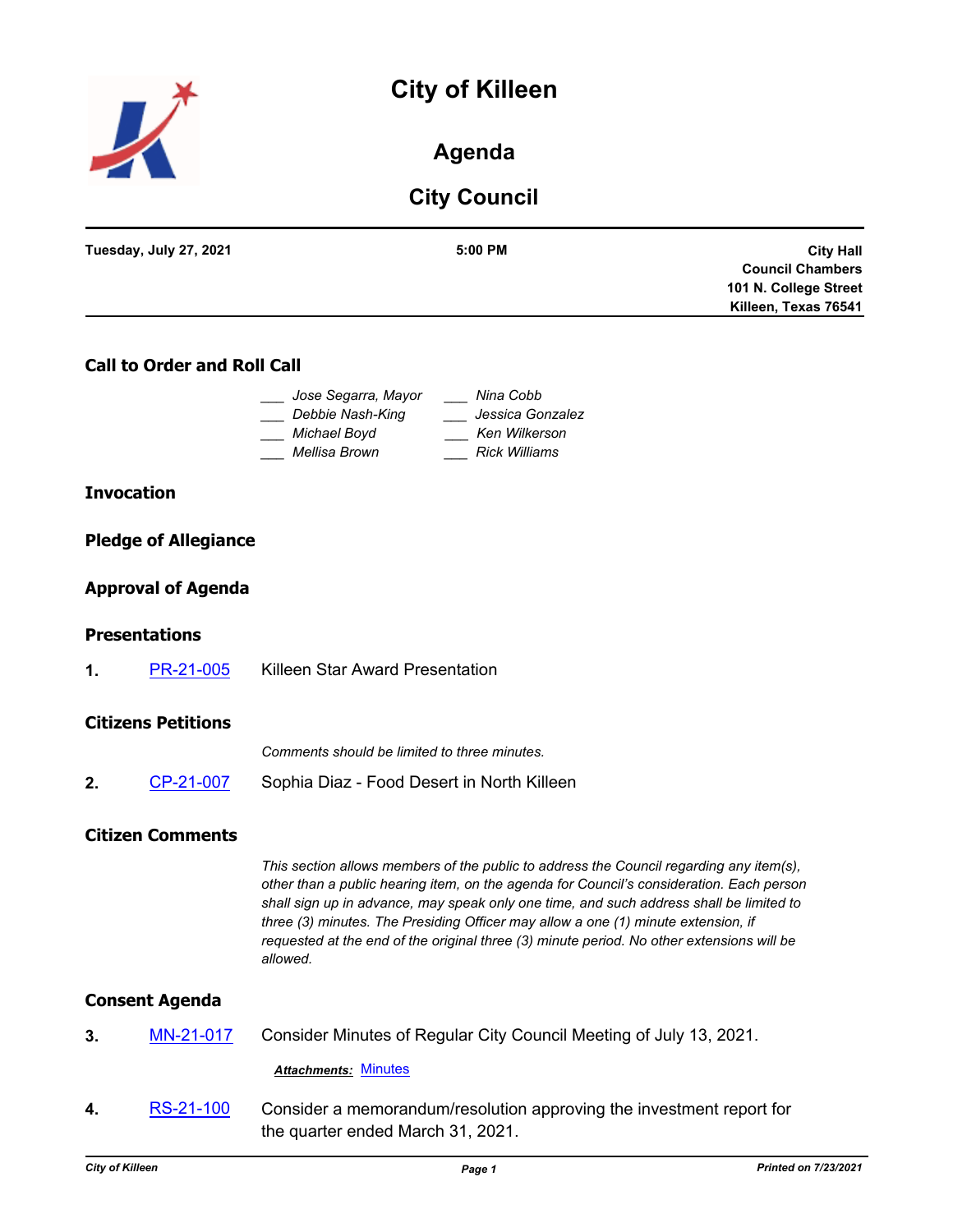# **City of Killeen**



# **Agenda**

# **City Council**

| Tuesday, July 27, 2021 | 5:00 PM | <b>City Hall</b>        |
|------------------------|---------|-------------------------|
|                        |         | <b>Council Chambers</b> |
|                        |         | 101 N. College Street   |
|                        |         | Killeen, Texas 76541    |
|                        |         |                         |

### **Call to Order and Roll Call**

| Jose Segarra, Mayor | Nina Cobb            |
|---------------------|----------------------|
| Debbie Nash-King    | Jessica Gonzalez     |
| Michael Boyd        | Ken Wilkerson        |
| Mellisa Brown       | <b>Rick Williams</b> |

#### **Invocation**

#### **Pledge of Allegiance**

#### **Approval of Agenda**

#### **Presentations**

**1.** [PR-21-005](http://killeen.legistar.com/gateway.aspx?m=l&id=/matter.aspx?key=5582) Killeen Star Award Presentation

#### **Citizens Petitions**

*Comments should be limited to three minutes.*

**2.** [CP-21-007](http://killeen.legistar.com/gateway.aspx?m=l&id=/matter.aspx?key=5614) Sophia Diaz - Food Desert in North Killeen

#### **Citizen Comments**

*This section allows members of the public to address the Council regarding any item(s), other than a public hearing item, on the agenda for Council's consideration. Each person shall sign up in advance, may speak only one time, and such address shall be limited to three (3) minutes. The Presiding Officer may allow a one (1) minute extension, if requested at the end of the original three (3) minute period. No other extensions will be allowed.*

#### **Consent Agenda**

**3.** [MN-21-017](http://killeen.legistar.com/gateway.aspx?m=l&id=/matter.aspx?key=5581) Consider Minutes of Regular City Council Meeting of July 13, 2021.

*Attachments:* [Minutes](http://killeen.legistar.com/gateway.aspx?M=F&ID=d04851ae-7739-46d4-ae78-d6e7a7652a7f.pdf)

**4.** [RS-21-100](http://killeen.legistar.com/gateway.aspx?m=l&id=/matter.aspx?key=5480) Consider a memorandum/resolution approving the investment report for the quarter ended March 31, 2021.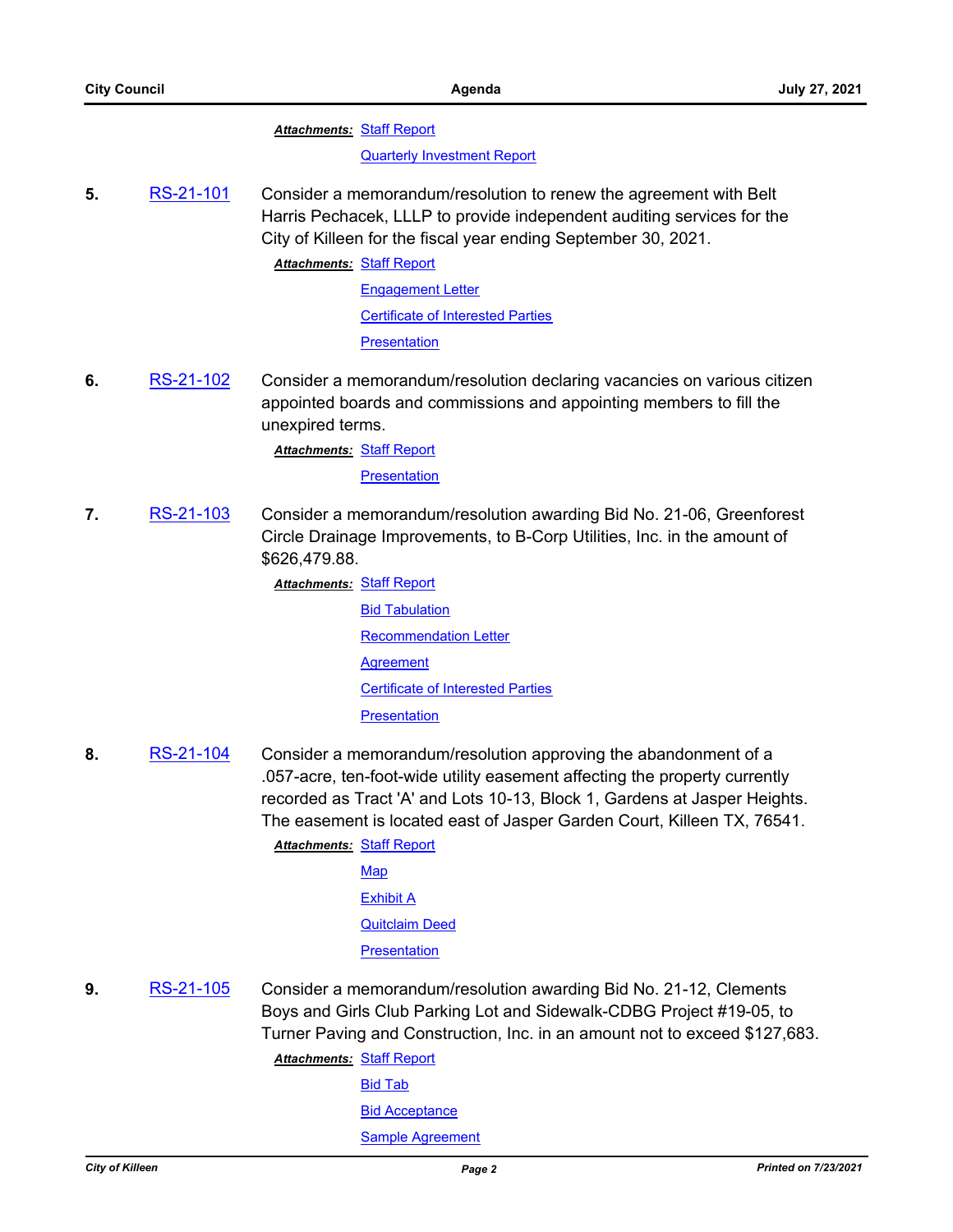**Attachments: [Staff Report](http://killeen.legistar.com/gateway.aspx?M=F&ID=7d89c87f-16ce-4127-969f-9b6bd78b7fe7.pdf)** 

[Quarterly Investment Report](http://killeen.legistar.com/gateway.aspx?M=F&ID=8ef53488-c061-414e-b4d7-40d830be6c76.pdf)

**5.** [RS-21-101](http://killeen.legistar.com/gateway.aspx?m=l&id=/matter.aspx?key=5563) Consider a memorandum/resolution to renew the agreement with Belt Harris Pechacek, LLLP to provide independent auditing services for the City of Killeen for the fiscal year ending September 30, 2021.

**Attachments: [Staff Report](http://killeen.legistar.com/gateway.aspx?M=F&ID=96f7907e-cab1-4c75-a3af-6d58876c25cf.pdf)** 

[Engagement Letter](http://killeen.legistar.com/gateway.aspx?M=F&ID=3866f96c-1637-40ad-89c0-34d8a20240bf.pdf) [Certificate of Interested Parties](http://killeen.legistar.com/gateway.aspx?M=F&ID=8ad9d709-9bc1-4e98-b26f-22d03ce2a6f6.pdf) [Presentation](http://killeen.legistar.com/gateway.aspx?M=F&ID=294e1191-0411-43ad-9667-13978e6b8c58.pdf)

**6.** [RS-21-102](http://killeen.legistar.com/gateway.aspx?m=l&id=/matter.aspx?key=5594) Consider a memorandum/resolution declaring vacancies on various citizen appointed boards and commissions and appointing members to fill the unexpired terms.

**Attachments: [Staff Report](http://killeen.legistar.com/gateway.aspx?M=F&ID=0ae12efd-fd67-417a-9c29-be85471dba1d.pdf)** 

**[Presentation](http://killeen.legistar.com/gateway.aspx?M=F&ID=74cf5300-8c2a-4f16-94ed-bae30cf3315f.pdf)** 

**7.** [RS-21-103](http://killeen.legistar.com/gateway.aspx?m=l&id=/matter.aspx?key=5562) Consider a memorandum/resolution awarding Bid No. 21-06, Greenforest Circle Drainage Improvements, to B-Corp Utilities, Inc. in the amount of \$626,479.88.

**Attachments: [Staff Report](http://killeen.legistar.com/gateway.aspx?M=F&ID=13c92416-2b9c-47eb-a773-81e9640487c5.pdf)** 

[Bid Tabulation](http://killeen.legistar.com/gateway.aspx?M=F&ID=c2f7659d-7fec-4ae0-8dad-a0426ab5b8b8.pdf) [Recommendation Letter](http://killeen.legistar.com/gateway.aspx?M=F&ID=33892f50-ea5f-4019-b3c1-23c6c655e6b5.pdf) **[Agreement](http://killeen.legistar.com/gateway.aspx?M=F&ID=c0a3080d-ef6e-45dd-8688-421e74066f81.pdf)** [Certificate of Interested Parties](http://killeen.legistar.com/gateway.aspx?M=F&ID=6a961e5c-5c97-4606-8dda-d32e94ffcd91.pdf) **[Presentation](http://killeen.legistar.com/gateway.aspx?M=F&ID=35869bed-4b33-40d1-a515-f1d5bd808a08.pdf)** 

**8.** [RS-21-104](http://killeen.legistar.com/gateway.aspx?m=l&id=/matter.aspx?key=5596) Consider a memorandum/resolution approving the abandonment of a .057-acre, ten-foot-wide utility easement affecting the property currently recorded as Tract 'A' and Lots 10-13, Block 1, Gardens at Jasper Heights. The easement is located east of Jasper Garden Court, Killeen TX, 76541.

> **Attachments: [Staff Report](http://killeen.legistar.com/gateway.aspx?M=F&ID=ea03dbdd-fcfe-4e20-b29a-8317761546c9.pdf)** [Map](http://killeen.legistar.com/gateway.aspx?M=F&ID=e4c9cc1b-5c93-4471-9879-48ef7830e806.pdf) [Exhibit A](http://killeen.legistar.com/gateway.aspx?M=F&ID=6fecdaca-811a-4321-8c5e-645b25689a6f.pdf) [Quitclaim Deed](http://killeen.legistar.com/gateway.aspx?M=F&ID=fed4c379-ca18-4fa2-941b-d7101d8dd121.pdf) **[Presentation](http://killeen.legistar.com/gateway.aspx?M=F&ID=2e681699-1850-494a-b5e4-74db2dba7641.pdf)**

**9.** [RS-21-105](http://killeen.legistar.com/gateway.aspx?m=l&id=/matter.aspx?key=5592) Consider a memorandum/resolution awarding Bid No. 21-12, Clements Boys and Girls Club Parking Lot and Sidewalk-CDBG Project #19-05, to Turner Paving and Construction, Inc. in an amount not to exceed \$127,683.

**Attachments: [Staff Report](http://killeen.legistar.com/gateway.aspx?M=F&ID=ce3905ce-0842-41d0-ac0c-2c40eb9d724a.pdf)** 

[Bid Tab](http://killeen.legistar.com/gateway.aspx?M=F&ID=6443b2cc-7ffd-434f-a256-3e9c01ff1559.pdf)

**[Bid Acceptance](http://killeen.legistar.com/gateway.aspx?M=F&ID=7f87aedb-1396-4f60-b3d9-8dc4852e6986.pdf)** 

[Sample Agreement](http://killeen.legistar.com/gateway.aspx?M=F&ID=d5b78af6-62e4-4952-af26-395030eb9203.pdf)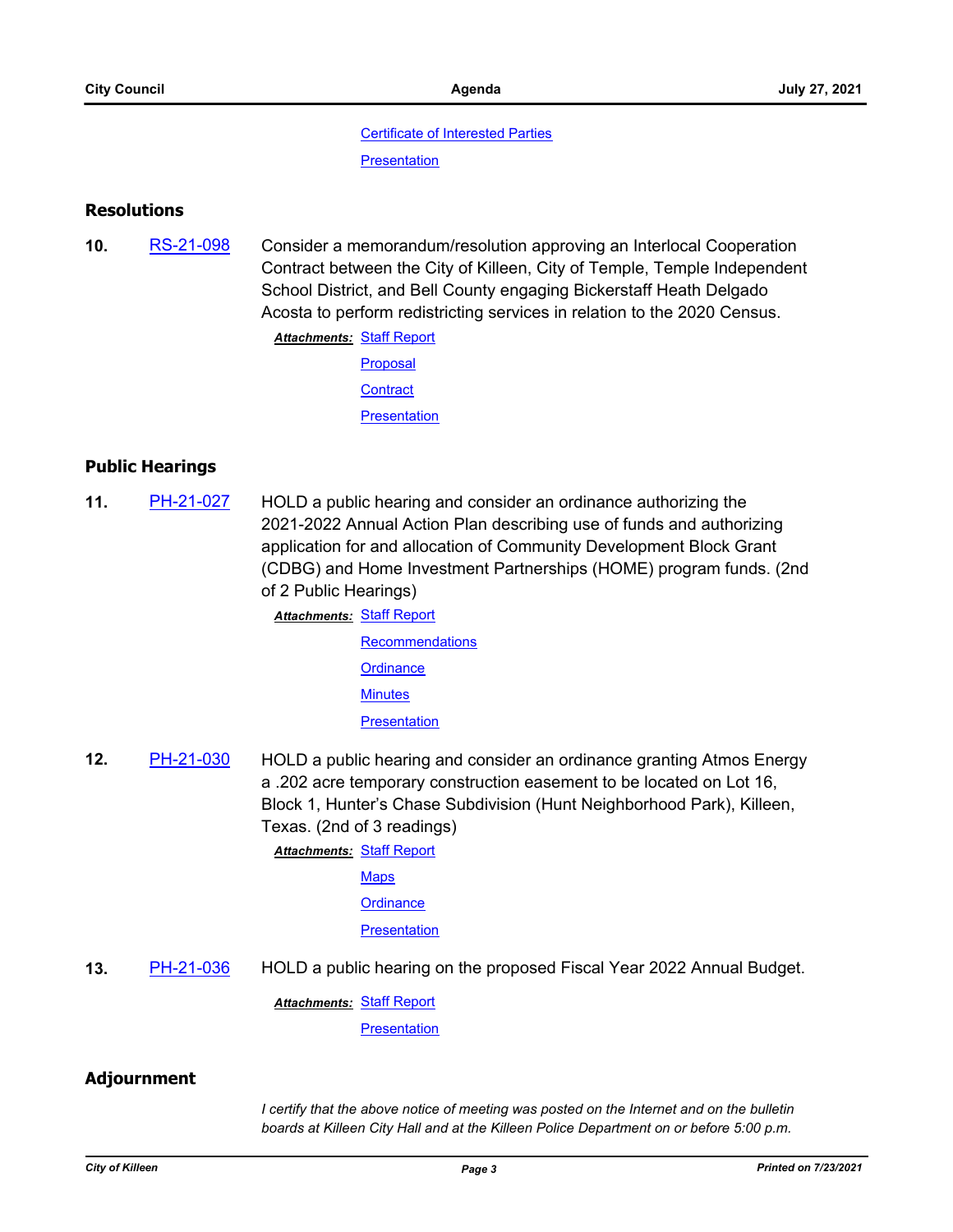#### [Certificate of Interested Parties](http://killeen.legistar.com/gateway.aspx?M=F&ID=148c9d3f-76df-4411-9a50-ef990dfaca09.pdf)

**[Presentation](http://killeen.legistar.com/gateway.aspx?M=F&ID=77d547f7-b8be-4ea0-9097-b51a4833f052.pdf)** 

#### **Resolutions**

**10.** [RS-21-098](http://killeen.legistar.com/gateway.aspx?m=l&id=/matter.aspx?key=5558) Consider a memorandum/resolution approving an Interlocal Cooperation Contract between the City of Killeen, City of Temple, Temple Independent School District, and Bell County engaging Bickerstaff Heath Delgado Acosta to perform redistricting services in relation to the 2020 Census.

**Attachments: [Staff Report](http://killeen.legistar.com/gateway.aspx?M=F&ID=0cb9441a-d031-4a75-b000-6c8d41c68a6b.pdf)** 

- [Proposal](http://killeen.legistar.com/gateway.aspx?M=F&ID=22759815-bf02-43c1-a1e5-c53694ea763b.pdf)
- **[Contract](http://killeen.legistar.com/gateway.aspx?M=F&ID=6796414b-8681-4732-8ad1-0b61c5888394.pdf)**

**[Presentation](http://killeen.legistar.com/gateway.aspx?M=F&ID=94e927a6-519a-4c7d-920e-9b7e67221424.pdf)** 

## **Public Hearings**

**11.** [PH-21-027](http://killeen.legistar.com/gateway.aspx?m=l&id=/matter.aspx?key=5513) HOLD a public hearing and consider an ordinance authorizing the 2021-2022 Annual Action Plan describing use of funds and authorizing application for and allocation of Community Development Block Grant (CDBG) and Home Investment Partnerships (HOME) program funds. (2nd of 2 Public Hearings)

> **Attachments: [Staff Report](http://killeen.legistar.com/gateway.aspx?M=F&ID=392c9237-bbb3-41c8-9777-152b73265994.pdf) [Recommendations](http://killeen.legistar.com/gateway.aspx?M=F&ID=df5b3788-6d34-4b81-91d8-a2b182e30ce1.pdf) [Ordinance](http://killeen.legistar.com/gateway.aspx?M=F&ID=d6b85168-978f-4cb8-b45b-08239ac6efc3.pdf) [Minutes](http://killeen.legistar.com/gateway.aspx?M=F&ID=c5602d3b-f482-4682-85d9-5b39dd886714.pdf) [Presentation](http://killeen.legistar.com/gateway.aspx?M=F&ID=224530e8-f863-4e84-bb9a-839bace4f4e3.pdf)**

**12.** [PH-21-030](http://killeen.legistar.com/gateway.aspx?m=l&id=/matter.aspx?key=5564) HOLD a public hearing and consider an ordinance granting Atmos Energy a .202 acre temporary construction easement to be located on Lot 16, Block 1, Hunter's Chase Subdivision (Hunt Neighborhood Park), Killeen, Texas. (2nd of 3 readings)

**Attachments: [Staff Report](http://killeen.legistar.com/gateway.aspx?M=F&ID=0ed027cb-6f76-4780-8866-522a796f954d.pdf)** 

**[Maps](http://killeen.legistar.com/gateway.aspx?M=F&ID=8847f1cd-9ee0-4bea-8079-4b59fd76d916.pdf)** 

**[Ordinance](http://killeen.legistar.com/gateway.aspx?M=F&ID=44d13e7b-ff0b-46a4-a622-b465ba434e2d.pdf)** 

**[Presentation](http://killeen.legistar.com/gateway.aspx?M=F&ID=e35b7593-e5c7-4462-8243-3ec222fd5a92.pdf)** 

**13.** [PH-21-036](http://killeen.legistar.com/gateway.aspx?m=l&id=/matter.aspx?key=5607) HOLD a public hearing on the proposed Fiscal Year 2022 Annual Budget.

**Attachments: [Staff Report](http://killeen.legistar.com/gateway.aspx?M=F&ID=5483c89f-00dd-49d5-ba73-2c515368f2ae.pdf)** 

**[Presentation](http://killeen.legistar.com/gateway.aspx?M=F&ID=3c19197a-6f16-4094-a254-e3b22387835d.pdf)** 

### **Adjournment**

*I certify that the above notice of meeting was posted on the Internet and on the bulletin boards at Killeen City Hall and at the Killeen Police Department on or before 5:00 p.m.*